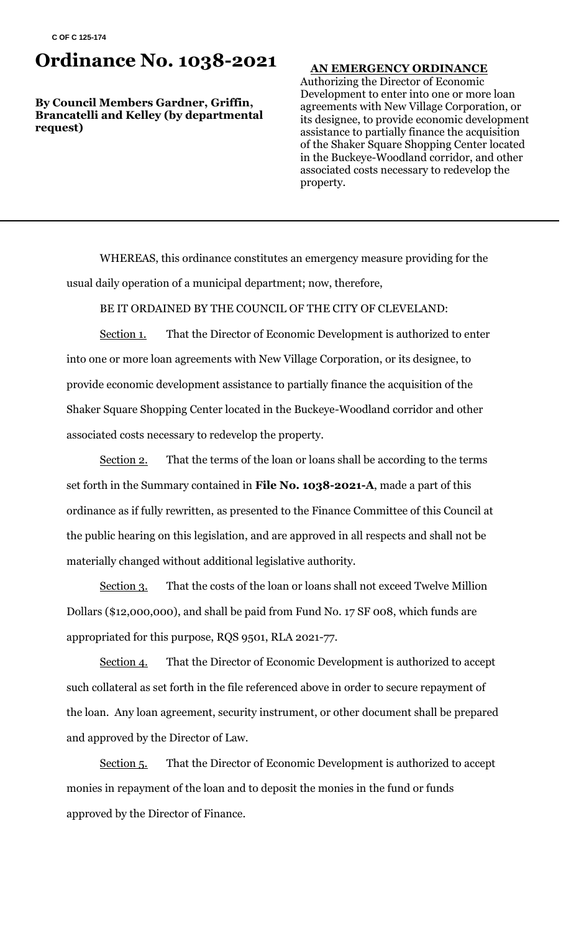## **Ordinance No. 1038-2021**

**By Council Members Gardner, Griffin, Brancatelli and Kelley (by departmental request)**

#### **AN EMERGENCY ORDINANCE**

Authorizing the Director of Economic Development to enter into one or more loan agreements with New Village Corporation, or its designee, to provide economic development assistance to partially finance the acquisition of the Shaker Square Shopping Center located in the Buckeye-Woodland corridor, and other associated costs necessary to redevelop the property.

WHEREAS, this ordinance constitutes an emergency measure providing for the usual daily operation of a municipal department; now, therefore,

BE IT ORDAINED BY THE COUNCIL OF THE CITY OF CLEVELAND:

Section 1. That the Director of Economic Development is authorized to enter into one or more loan agreements with New Village Corporation, or its designee, to provide economic development assistance to partially finance the acquisition of the Shaker Square Shopping Center located in the Buckeye-Woodland corridor and other associated costs necessary to redevelop the property.

Section 2. That the terms of the loan or loans shall be according to the terms set forth in the Summary contained in **File No. 1038-2021-A**, made a part of this ordinance as if fully rewritten, as presented to the Finance Committee of this Council at the public hearing on this legislation, and are approved in all respects and shall not be materially changed without additional legislative authority.

Section 3. That the costs of the loan or loans shall not exceed Twelve Million Dollars (\$12,000,000), and shall be paid from Fund No. 17 SF 008, which funds are appropriated for this purpose, RQS 9501, RLA 2021-77.

Section 4. That the Director of Economic Development is authorized to accept such collateral as set forth in the file referenced above in order to secure repayment of the loan. Any loan agreement, security instrument, or other document shall be prepared and approved by the Director of Law.

Section 5. That the Director of Economic Development is authorized to accept monies in repayment of the loan and to deposit the monies in the fund or funds approved by the Director of Finance.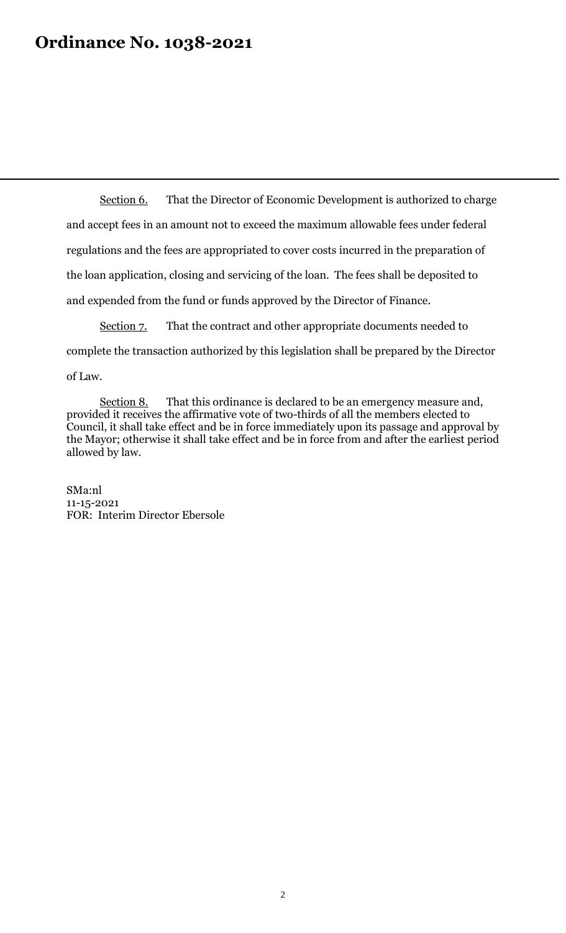## **Ordinance No. 1038-2021**

Section 6. That the Director of Economic Development is authorized to charge and accept fees in an amount not to exceed the maximum allowable fees under federal regulations and the fees are appropriated to cover costs incurred in the preparation of the loan application, closing and servicing of the loan. The fees shall be deposited to and expended from the fund or funds approved by the Director of Finance.

Section 7. That the contract and other appropriate documents needed to complete the transaction authorized by this legislation shall be prepared by the Director of Law.

Section 8. That this ordinance is declared to be an emergency measure and, provided it receives the affirmative vote of two-thirds of all the members elected to Council, it shall take effect and be in force immediately upon its passage and approval by the Mayor; otherwise it shall take effect and be in force from and after the earliest period allowed by law.

SMa:nl 11-15-2021 FOR: Interim Director Ebersole